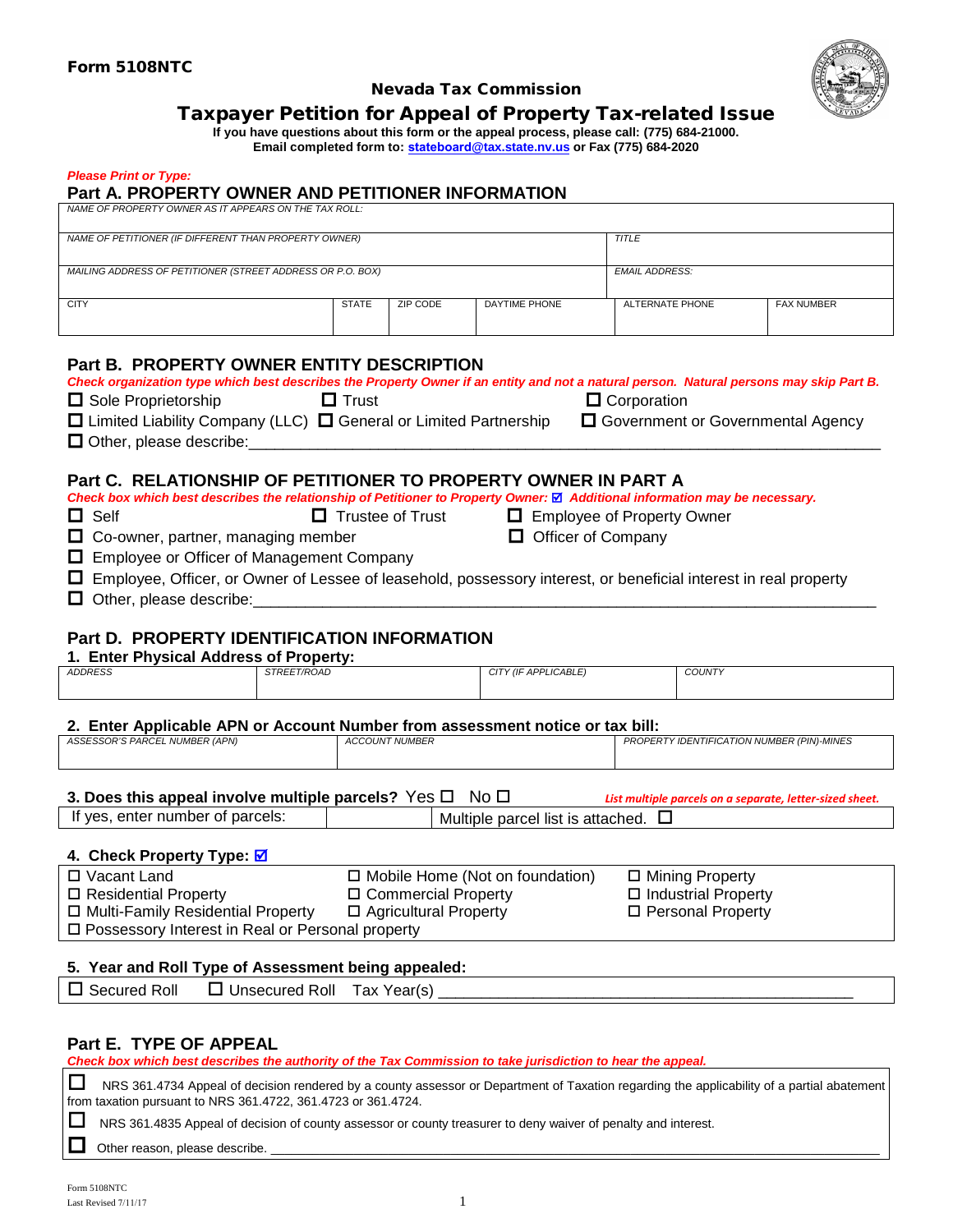

#### Nevada Tax Commission

# Taxpayer Petition for Appeal of Property Tax-related Issue

**If you have questions about this form or the appeal process, please call: (775) 684-21000. Email completed form to: stateboard[@tax.state.nv.us](mailto:ANITA.MOORE@tax.state.nv.us) or Fax (775) 684-2020**

#### *Please Print or Type:*

### **Part A. PROPERTY OWNER AND PETITIONER INFORMATION**

*NAME OF PROPERTY OWNER AS IT APPEARS ON THE TAX ROLL:*

| NAME OF PETITIONER (IF DIFFERENT THAN PROPERTY OWNER)      |              |          | <b>TITLE</b>          |                 |                   |  |
|------------------------------------------------------------|--------------|----------|-----------------------|-----------------|-------------------|--|
|                                                            |              |          |                       |                 |                   |  |
|                                                            |              |          |                       |                 |                   |  |
| MAILING ADDRESS OF PETITIONER (STREET ADDRESS OR P.O. BOX) |              |          | <b>EMAIL ADDRESS:</b> |                 |                   |  |
|                                                            |              |          |                       |                 |                   |  |
|                                                            |              |          |                       |                 |                   |  |
| <b>CITY</b>                                                | <b>STATE</b> | ZIP CODE | DAYTIME PHONE         | ALTERNATE PHONE | <b>FAX NUMBER</b> |  |
|                                                            |              |          |                       |                 |                   |  |
|                                                            |              |          |                       |                 |                   |  |

#### **Part B. PROPERTY OWNER ENTITY DESCRIPTION**

|                                                                              |              | Check organization type which best describes the Property Owner if an entity and not a natural person. Natural persons may skip Part B. |
|------------------------------------------------------------------------------|--------------|-----------------------------------------------------------------------------------------------------------------------------------------|
| $\Box$ Sole Proprietorship                                                   | $\Box$ Trust | $\Box$ Corporation                                                                                                                      |
| $\Box$ Limited Liability Company (LLC) $\Box$ General or Limited Partnership |              | □ Government or Governmental Agency                                                                                                     |
| $\Box$ Other, please describe:                                               |              |                                                                                                                                         |

### **Part C. RELATIONSHIP OF PETITIONER TO PROPERTY OWNER IN PART A**

*Check box which best describes the relationship of Petitioner to Property Owner:* *Additional information may be necessary.* 

□ Self **Example 2** Trustee of Trust **Example 2** Employee of Property Owner

- □ Co-owner, partner, managing member □ □ Officer of Company
- □ Employee or Officer of Management Company
- Employee, Officer, or Owner of Lessee of leasehold, possessory interest, or beneficial interest in real property
- $\Box$  Other, please describe:

### **Part D. PROPERTY IDENTIFICATION INFORMATION**

| 1. Enter Physical Address of Property: |  |
|----------------------------------------|--|
|----------------------------------------|--|

| <b>ADDRESS</b>                                                                                                                 | <i>STREET/ROAD</i> | CITY (IF APPLICABLE) | <b>COUNTY</b>                              |  |  |  |
|--------------------------------------------------------------------------------------------------------------------------------|--------------------|----------------------|--------------------------------------------|--|--|--|
| 2. Enter Applicable APN or Account Number from assessment notice or tax bill:                                                  |                    |                      |                                            |  |  |  |
| <b>ACCOUNT NUMBER</b><br>ASSESSOR'S PARCEL NUMBER (APN)                                                                        |                    |                      | PROPERTY IDENTIFICATION NUMBER (PIN)-MINES |  |  |  |
| 3. Does this appeal involve multiple parcels? Yes $\Box$ No $\Box$<br>List multiple parcels on a separate, letter-sized sheet. |                    |                      |                                            |  |  |  |

| parcels.<br>^+<br>nun<br>----<br>--<br>، ۱۵<br>---<br>enter<br>nper<br>ىر<br>ື | . .<br>. .<br>Multiple<br>norool<br>*acheu.<br>list<br>$\sim$<br>$\sim$<br>2500<br>Daicel<br>αι<br>ю |
|--------------------------------------------------------------------------------|------------------------------------------------------------------------------------------------------|
|                                                                                |                                                                                                      |

#### **4. Check Property Type:**

| □ Vacant Land                                           | $\Box$ Mobile Home (Not on foundation) | □ Mining Property          |  |  |  |
|---------------------------------------------------------|----------------------------------------|----------------------------|--|--|--|
| □ Residential Property                                  | □ Commercial Property                  | $\Box$ Industrial Property |  |  |  |
| □ Multi-Family Residential Property                     | $\Box$ Agricultural Property           | □ Personal Property        |  |  |  |
| $\Box$ Possessory Interest in Real or Personal property |                                        |                            |  |  |  |
|                                                         |                                        |                            |  |  |  |

#### **5. Year and Roll Type of Assessment being appealed:**

| <br>Roll<br>Secured<br>$\mathbf{I}$<br>. | Roll<br>Jnsecured | ™ах<br>Year(s) |
|------------------------------------------|-------------------|----------------|
|                                          |                   |                |

### **Part E. TYPE OF APPEAL**

*Check box which best describes the authority of the Tax Commission to take jurisdiction to hear the appeal.*

■ NRS 361.4734 Appeal of decision rendered by a county assessor or Department of Taxation regarding the applicability of a partial abatement from taxation pursuant to NRS 361.4722, 361.4723 or 361.4724.

■ NRS 361.4835 Appeal of decision of county assessor or county treasurer to deny waiver of penalty and interest.

Other reason, please describe.